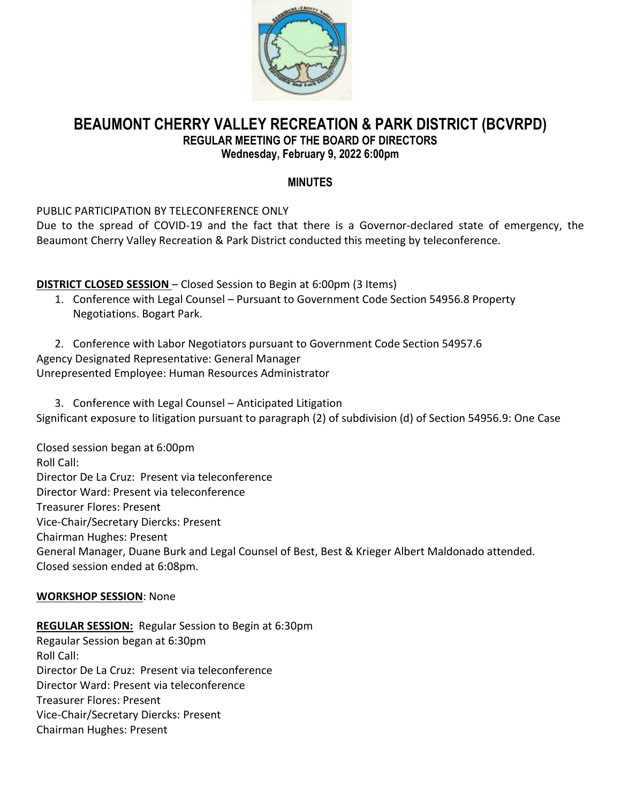

# **BEAUMONT CHERRY VALLEY RECREATION & PARK DISTRICT (BCVRPD) REGULAR MEETING OF THE BOARD OF DIRECTORS Wednesday, February 9, 2022 6:00pm**

### **MINUTES**

PUBLIC PARTICIPATION BY TELECONFERENCE ONLY

Due to the spread of COVID-19 and the fact that there is a Governor-declared state of emergency, the Beaumont Cherry Valley Recreation & Park District conducted this meeting by teleconference.

**DISTRICT CLOSED SESSION** – Closed Session to Begin at 6:00pm (3 Items)

- 1. Conference with Legal Counsel Pursuant to Government Code Section 54956.8 Property Negotiations. Bogart Park.
- 2. Conference with Labor Negotiators pursuant to Government Code Section 54957.6 Agency Designated Representative: General Manager Unrepresented Employee: Human Resources Administrator

3. Conference with Legal Counsel – Anticipated Litigation Significant exposure to litigation pursuant to paragraph (2) of subdivision (d) of Section 54956.9: One Case

Closed session began at 6:00pm Roll Call: Director De La Cruz: Present via teleconference Director Ward: Present via teleconference Treasurer Flores: Present Vice-Chair/Secretary Diercks: Present Chairman Hughes: Present General Manager, Duane Burk and Legal Counsel of Best, Best & Krieger Albert Maldonado attended. Closed session ended at 6:08pm.

# **WORKSHOP SESSION**: None

**REGULAR SESSION:** Regular Session to Begin at 6:30pm Regaular Session began at 6:30pm Roll Call: Director De La Cruz: Present via teleconference Director Ward: Present via teleconference Treasurer Flores: Present Vice-Chair/Secretary Diercks: Present Chairman Hughes: Present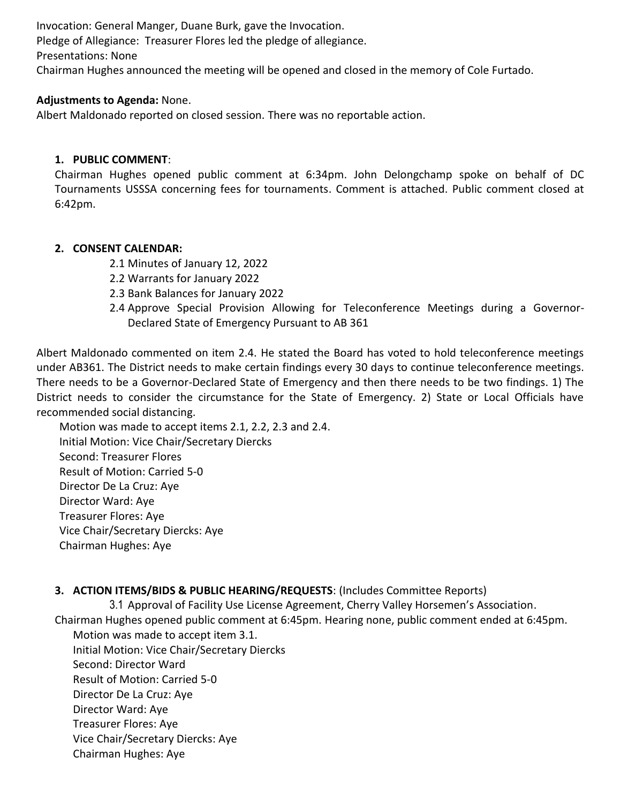Invocation: General Manger, Duane Burk, gave the Invocation. Pledge of Allegiance: Treasurer Flores led the pledge of allegiance. Presentations: None Chairman Hughes announced the meeting will be opened and closed in the memory of Cole Furtado.

### **Adjustments to Agenda:** None.

Albert Maldonado reported on closed session. There was no reportable action.

#### **1. PUBLIC COMMENT**:

Chairman Hughes opened public comment at 6:34pm. John Delongchamp spoke on behalf of DC Tournaments USSSA concerning fees for tournaments. Comment is attached. Public comment closed at 6:42pm.

### **2. CONSENT CALENDAR:**

- 2.1 Minutes of January 12, 2022
- 2.2 Warrants for January 2022
- 2.3 Bank Balances for January 2022
- 2.4 Approve Special Provision Allowing for Teleconference Meetings during a Governor-Declared State of Emergency Pursuant to AB 361

Albert Maldonado commented on item 2.4. He stated the Board has voted to hold teleconference meetings under AB361. The District needs to make certain findings every 30 days to continue teleconference meetings. There needs to be a Governor-Declared State of Emergency and then there needs to be two findings. 1) The District needs to consider the circumstance for the State of Emergency. 2) State or Local Officials have recommended social distancing.

Motion was made to accept items 2.1, 2.2, 2.3 and 2.4. Initial Motion: Vice Chair/Secretary Diercks Second: Treasurer Flores Result of Motion: Carried 5-0 Director De La Cruz: Aye Director Ward: Aye Treasurer Flores: Aye Vice Chair/Secretary Diercks: Aye Chairman Hughes: Aye

# **3. ACTION ITEMS/BIDS & PUBLIC HEARING/REQUESTS**: (Includes Committee Reports)

3.1 Approval of Facility Use License Agreement, Cherry Valley Horsemen's Association.

Chairman Hughes opened public comment at 6:45pm. Hearing none, public comment ended at 6:45pm.

Motion was made to accept item 3.1. Initial Motion: Vice Chair/Secretary Diercks Second: Director Ward Result of Motion: Carried 5-0 Director De La Cruz: Aye Director Ward: Aye Treasurer Flores: Aye Vice Chair/Secretary Diercks: Aye Chairman Hughes: Aye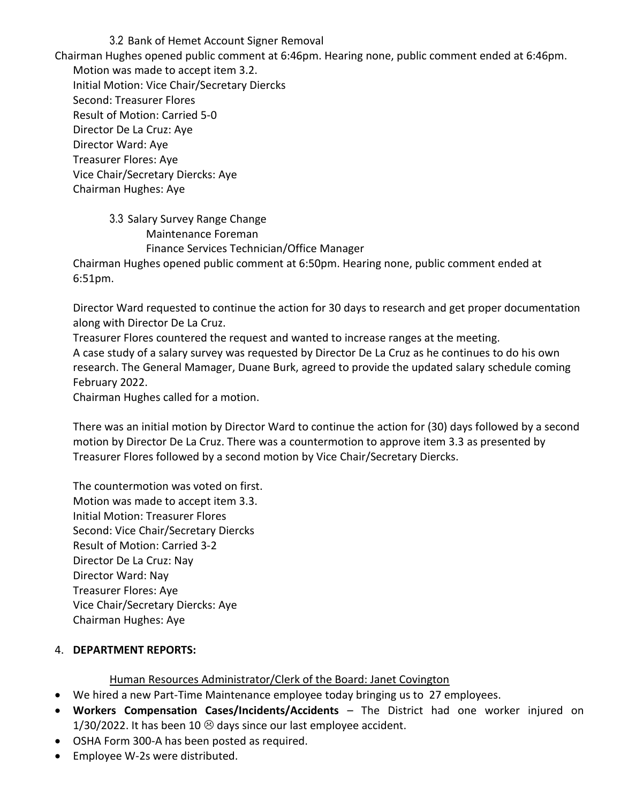3.2 Bank of Hemet Account Signer Removal Chairman Hughes opened public comment at 6:46pm. Hearing none, public comment ended at 6:46pm. Motion was made to accept item 3.2. Initial Motion: Vice Chair/Secretary Diercks Second: Treasurer Flores Result of Motion: Carried 5-0 Director De La Cruz: Aye Director Ward: Aye Treasurer Flores: Aye Vice Chair/Secretary Diercks: Aye Chairman Hughes: Aye

> 3.3 Salary Survey Range Change Maintenance Foreman Finance Services Technician/Office Manager

Chairman Hughes opened public comment at 6:50pm. Hearing none, public comment ended at 6:51pm.

Director Ward requested to continue the action for 30 days to research and get proper documentation along with Director De La Cruz.

Treasurer Flores countered the request and wanted to increase ranges at the meeting. A case study of a salary survey was requested by Director De La Cruz as he continues to do his own research. The General Mamager, Duane Burk, agreed to provide the updated salary schedule coming February 2022.

Chairman Hughes called for a motion.

There was an initial motion by Director Ward to continue the action for (30) days followed by a second motion by Director De La Cruz. There was a countermotion to approve item 3.3 as presented by Treasurer Flores followed by a second motion by Vice Chair/Secretary Diercks.

The countermotion was voted on first. Motion was made to accept item 3.3. Initial Motion: Treasurer Flores Second: Vice Chair/Secretary Diercks Result of Motion: Carried 3-2 Director De La Cruz: Nay Director Ward: Nay Treasurer Flores: Aye Vice Chair/Secretary Diercks: Aye Chairman Hughes: Aye

#### 4. **DEPARTMENT REPORTS:**

Human Resources Administrator/Clerk of the Board: Janet Covington

- We hired a new Part-Time Maintenance employee today bringing us to 27 employees.
- **Workers Compensation Cases/Incidents/Accidents**  The District had one worker injured on 1/30/2022. It has been 10  $\odot$  days since our last employee accident.
- OSHA Form 300-A has been posted as required.
- Employee W-2s were distributed.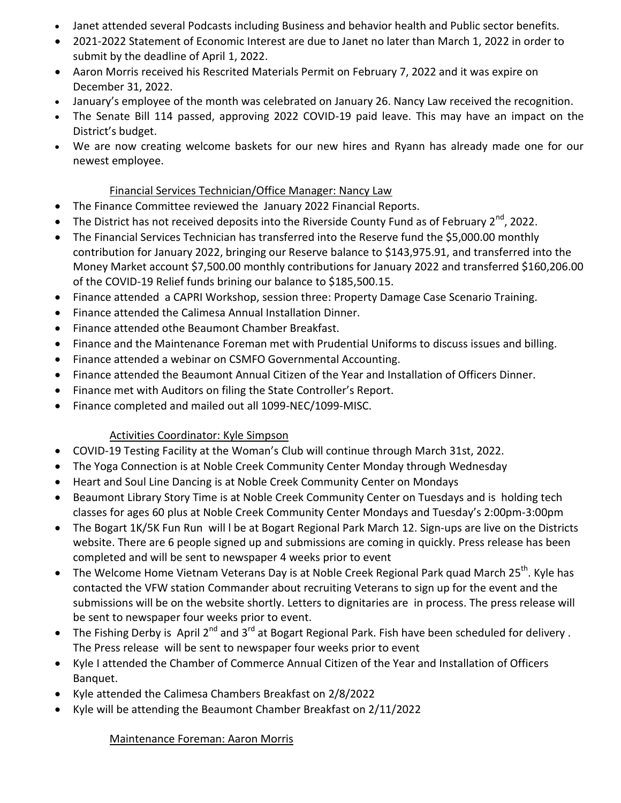- Janet attended several Podcasts including Business and behavior health and Public sector benefits.
- 2021-2022 Statement of Economic Interest are due to Janet no later than March 1, 2022 in order to submit by the deadline of April 1, 2022.
- Aaron Morris received his Rescrited Materials Permit on February 7, 2022 and it was expire on December 31, 2022.
- January's employee of the month was celebrated on January 26. Nancy Law received the recognition.
- The Senate Bill 114 passed, approving 2022 COVID-19 paid leave. This may have an impact on the District's budget.
- We are now creating welcome baskets for our new hires and Ryann has already made one for our newest employee.

# Financial Services Technician/Office Manager: Nancy Law

- The Finance Committee reviewed the January 2022 Financial Reports.
- The District has not received deposits into the Riverside County Fund as of February  $2^{nd}$ , 2022.
- The Financial Services Technician has transferred into the Reserve fund the \$5,000.00 monthly contribution for January 2022, bringing our Reserve balance to \$143,975.91, and transferred into the Money Market account \$7,500.00 monthly contributions for January 2022 and transferred \$160,206.00 of the COVID-19 Relief funds brining our balance to \$185,500.15.
- Finance attended a CAPRI Workshop, session three: Property Damage Case Scenario Training.
- Finance attended the Calimesa Annual Installation Dinner.
- Finance attended othe Beaumont Chamber Breakfast.
- Finance and the Maintenance Foreman met with Prudential Uniforms to discuss issues and billing.
- Finance attended a webinar on CSMFO Governmental Accounting.
- Finance attended the Beaumont Annual Citizen of the Year and Installation of Officers Dinner.
- Finance met with Auditors on filing the State Controller's Report.
- Finance completed and mailed out all 1099-NEC/1099-MISC.

# Activities Coordinator: Kyle Simpson

- COVID-19 Testing Facility at the Woman's Club will continue through March 31st, 2022.
- The Yoga Connection is at Noble Creek Community Center Monday through Wednesday
- Heart and Soul Line Dancing is at Noble Creek Community Center on Mondays
- Beaumont Library Story Time is at Noble Creek Community Center on Tuesdays and is holding tech classes for ages 60 plus at Noble Creek Community Center Mondays and Tuesday's 2:00pm-3:00pm
- The Bogart 1K/5K Fun Run will l be at Bogart Regional Park March 12. Sign-ups are live on the Districts website. There are 6 people signed up and submissions are coming in quickly. Press release has been completed and will be sent to newspaper 4 weeks prior to event
- The Welcome Home Vietnam Veterans Day is at Noble Creek Regional Park quad March 25<sup>th</sup>. Kyle has contacted the VFW station Commander about recruiting Veterans to sign up for the event and the submissions will be on the website shortly. Letters to dignitaries are in process. The press release will be sent to newspaper four weeks prior to event.
- The Fishing Derby is April 2<sup>nd</sup> and 3<sup>rd</sup> at Bogart Regional Park. Fish have been scheduled for delivery. The Press release will be sent to newspaper four weeks prior to event
- Kyle I attended the Chamber of Commerce Annual Citizen of the Year and Installation of Officers Banquet.
- Kyle attended the Calimesa Chambers Breakfast on 2/8/2022
- Kyle will be attending the Beaumont Chamber Breakfast on 2/11/2022

# Maintenance Foreman: Aaron Morris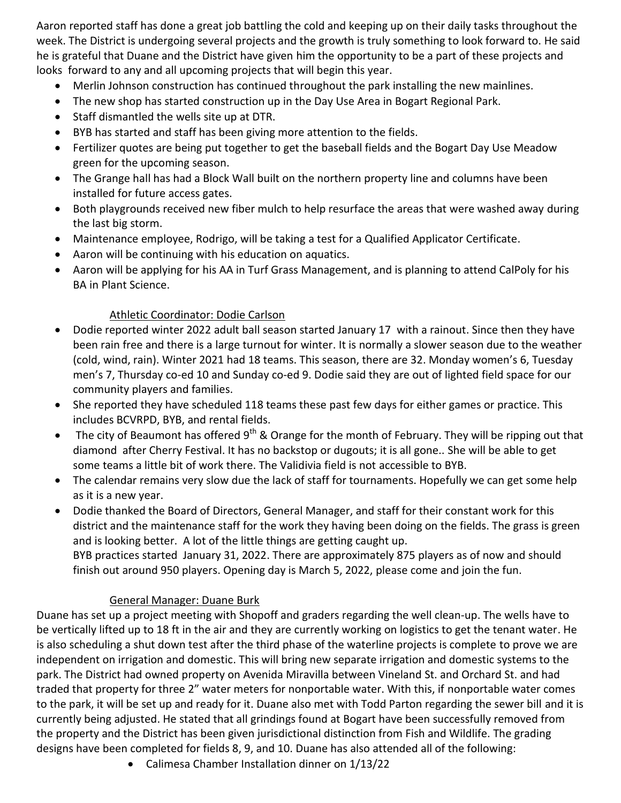Aaron reported staff has done a great job battling the cold and keeping up on their daily tasks throughout the week. The District is undergoing several projects and the growth is truly something to look forward to. He said he is grateful that Duane and the District have given him the opportunity to be a part of these projects and looks forward to any and all upcoming projects that will begin this year.

- Merlin Johnson construction has continued throughout the park installing the new mainlines.
- The new shop has started construction up in the Day Use Area in Bogart Regional Park.
- Staff dismantled the wells site up at DTR.
- BYB has started and staff has been giving more attention to the fields.
- Fertilizer quotes are being put together to get the baseball fields and the Bogart Day Use Meadow green for the upcoming season.
- The Grange hall has had a Block Wall built on the northern property line and columns have been installed for future access gates.
- Both playgrounds received new fiber mulch to help resurface the areas that were washed away during the last big storm.
- Maintenance employee, Rodrigo, will be taking a test for a Qualified Applicator Certificate.
- Aaron will be continuing with his education on aquatics.
- Aaron will be applying for his AA in Turf Grass Management, and is planning to attend CalPoly for his BA in Plant Science.

# Athletic Coordinator: Dodie Carlson

- Dodie reported winter 2022 adult ball season started January 17 with a rainout. Since then they have been rain free and there is a large turnout for winter. It is normally a slower season due to the weather (cold, wind, rain). Winter 2021 had 18 teams. This season, there are 32. Monday women's 6, Tuesday men's 7, Thursday co-ed 10 and Sunday co-ed 9. Dodie said they are out of lighted field space for our community players and families.
- She reported they have scheduled 118 teams these past few days for either games or practice. This includes BCVRPD, BYB, and rental fields.
- The city of Beaumont has offered  $9^{th}$  & Orange for the month of February. They will be ripping out that diamond after Cherry Festival. It has no backstop or dugouts; it is all gone.. She will be able to get some teams a little bit of work there. The Validivia field is not accessible to BYB.
- The calendar remains very slow due the lack of staff for tournaments. Hopefully we can get some help as it is a new year.
- Dodie thanked the Board of Directors, General Manager, and staff for their constant work for this district and the maintenance staff for the work they having been doing on the fields. The grass is green and is looking better. A lot of the little things are getting caught up. BYB practices started January 31, 2022. There are approximately 875 players as of now and should finish out around 950 players. Opening day is March 5, 2022, please come and join the fun.

# General Manager: Duane Burk

Duane has set up a project meeting with Shopoff and graders regarding the well clean-up. The wells have to be vertically lifted up to 18 ft in the air and they are currently working on logistics to get the tenant water. He is also scheduling a shut down test after the third phase of the waterline projects is complete to prove we are independent on irrigation and domestic. This will bring new separate irrigation and domestic systems to the park. The District had owned property on Avenida Miravilla between Vineland St. and Orchard St. and had traded that property for three 2" water meters for nonportable water. With this, if nonportable water comes to the park, it will be set up and ready for it. Duane also met with Todd Parton regarding the sewer bill and it is currently being adjusted. He stated that all grindings found at Bogart have been successfully removed from the property and the District has been given jurisdictional distinction from Fish and Wildlife. The grading designs have been completed for fields 8, 9, and 10. Duane has also attended all of the following:

Calimesa Chamber Installation dinner on 1/13/22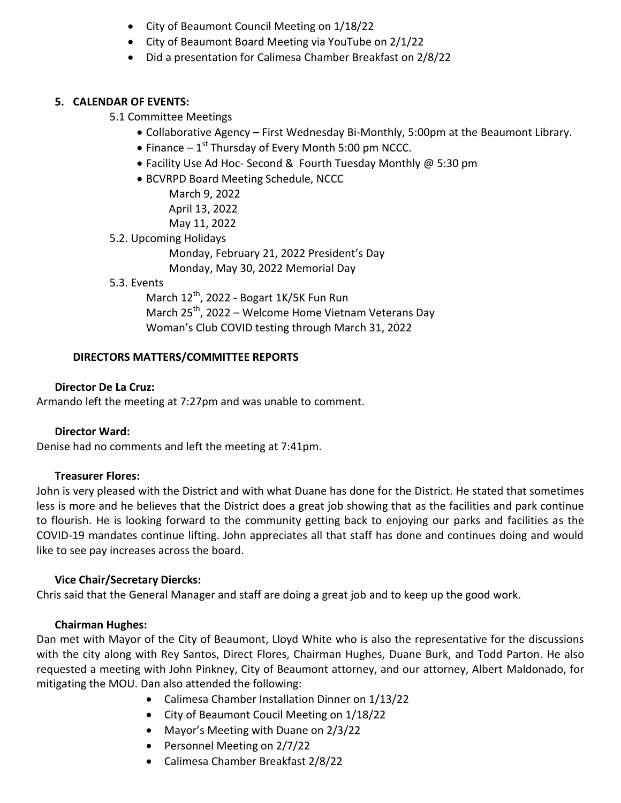- City of Beaumont Council Meeting on 1/18/22
- City of Beaumont Board Meeting via YouTube on 2/1/22
- Did a presentation for Calimesa Chamber Breakfast on 2/8/22

### **5. CALENDAR OF EVENTS:**

#### 5.1 Committee Meetings

- Collaborative Agency First Wednesday Bi-Monthly, 5:00pm at the Beaumont Library.
- $\bullet$  Finance 1<sup>st</sup> Thursday of Every Month 5:00 pm NCCC.
- Facility Use Ad Hoc- Second & Fourth Tuesday Monthly @ 5:30 pm
- BCVRPD Board Meeting Schedule, NCCC

March 9, 2022 April 13, 2022 May 11, 2022

5.2. Upcoming Holidays

Monday, February 21, 2022 President's Day

Monday, May 30, 2022 Memorial Day

5.3. Events

March  $12^{th}$ , 2022 - Bogart 1K/5K Fun Run March  $25^{th}$ , 2022 – Welcome Home Vietnam Veterans Day Woman's Club COVID testing through March 31, 2022

### **DIRECTORS MATTERS/COMMITTEE REPORTS**

### **Director De La Cruz:**

Armando left the meeting at 7:27pm and was unable to comment.

#### **Director Ward:**

Denise had no comments and left the meeting at 7:41pm.

#### **Treasurer Flores:**

John is very pleased with the District and with what Duane has done for the District. He stated that sometimes less is more and he believes that the District does a great job showing that as the facilities and park continue to flourish. He is looking forward to the community getting back to enjoying our parks and facilities as the COVID-19 mandates continue lifting. John appreciates all that staff has done and continues doing and would like to see pay increases across the board.

#### **Vice Chair/Secretary Diercks:**

Chris said that the General Manager and staff are doing a great job and to keep up the good work.

#### **Chairman Hughes:**

Dan met with Mayor of the City of Beaumont, Lloyd White who is also the representative for the discussions with the city along with Rey Santos, Direct Flores, Chairman Hughes, Duane Burk, and Todd Parton. He also requested a meeting with John Pinkney, City of Beaumont attorney, and our attorney, Albert Maldonado, for mitigating the MOU. Dan also attended the following:

- Calimesa Chamber Installation Dinner on 1/13/22
- City of Beaumont Coucil Meeting on 1/18/22
- Mayor's Meeting with Duane on 2/3/22
- Personnel Meeting on 2/7/22
- Calimesa Chamber Breakfast 2/8/22